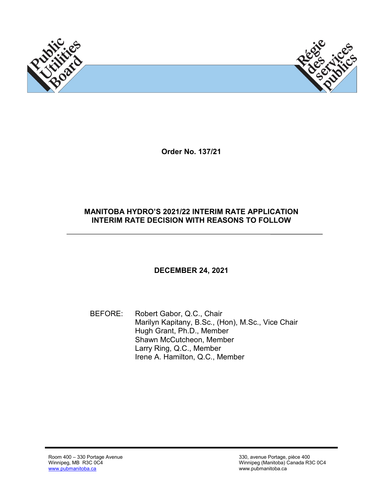

**Order No. 137/21**

### **MANITOBA HYDRO'S 2021/22 INTERIM RATE APPLICATION INTERIM RATE DECISION WITH REASONS TO FOLLOW**

## **DECEMBER 24, 2021**

BEFORE: Robert Gabor, Q.C., Chair Marilyn Kapitany, B.Sc., (Hon), M.Sc., Vice Chair Hugh Grant, Ph.D., Member Shawn McCutcheon, Member Larry Ring, Q.C., Member Irene A. Hamilton, Q.C., Member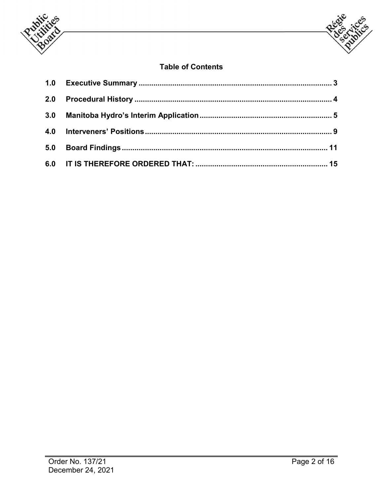



# **Table of Contents**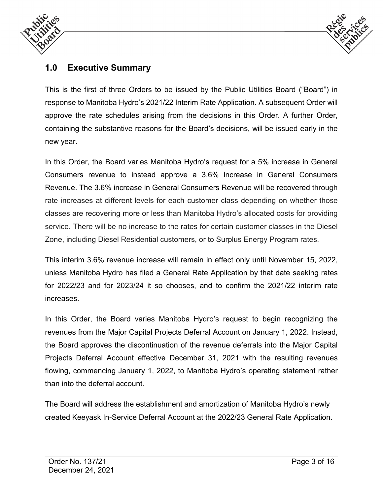



# **1.0 Executive Summary**

This is the first of three Orders to be issued by the Public Utilities Board ("Board") in response to Manitoba Hydro's 2021/22 Interim Rate Application. A subsequent Order will approve the rate schedules arising from the decisions in this Order. A further Order, containing the substantive reasons for the Board's decisions, will be issued early in the new year.

In this Order, the Board varies Manitoba Hydro's request for a 5% increase in General Consumers revenue to instead approve a 3.6% increase in General Consumers Revenue. The 3.6% increase in General Consumers Revenue will be recovered through rate increases at different levels for each customer class depending on whether those classes are recovering more or less than Manitoba Hydro's allocated costs for providing service. There will be no increase to the rates for certain customer classes in the Diesel Zone, including Diesel Residential customers, or to Surplus Energy Program rates.

This interim 3.6% revenue increase will remain in effect only until November 15, 2022, unless Manitoba Hydro has filed a General Rate Application by that date seeking rates for 2022/23 and for 2023/24 it so chooses, and to confirm the 2021/22 interim rate increases.

In this Order, the Board varies Manitoba Hydro's request to begin recognizing the revenues from the Major Capital Projects Deferral Account on January 1, 2022. Instead, the Board approves the discontinuation of the revenue deferrals into the Major Capital Projects Deferral Account effective December 31, 2021 with the resulting revenues flowing, commencing January 1, 2022, to Manitoba Hydro's operating statement rather than into the deferral account.

The Board will address the establishment and amortization of Manitoba Hydro's newly created Keeyask In-Service Deferral Account at the 2022/23 General Rate Application.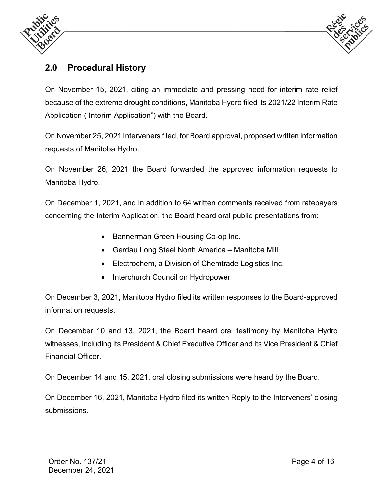



# **2.0 Procedural History**

On November 15, 2021, citing an immediate and pressing need for interim rate relief because of the extreme drought conditions, Manitoba Hydro filed its 2021/22 Interim Rate Application ("Interim Application") with the Board.

On November 25, 2021 Interveners filed, for Board approval, proposed written information requests of Manitoba Hydro.

On November 26, 2021 the Board forwarded the approved information requests to Manitoba Hydro.

On December 1, 2021, and in addition to 64 written comments received from ratepayers concerning the Interim Application, the Board heard oral public presentations from:

- Bannerman Green Housing Co-op Inc.
- Gerdau Long Steel North America Manitoba Mill
- Electrochem, a Division of Chemtrade Logistics Inc.
- Interchurch Council on Hydropower

On December 3, 2021, Manitoba Hydro filed its written responses to the Board-approved information requests.

On December 10 and 13, 2021, the Board heard oral testimony by Manitoba Hydro witnesses, including its President & Chief Executive Officer and its Vice President & Chief Financial Officer.

On December 14 and 15, 2021, oral closing submissions were heard by the Board.

On December 16, 2021, Manitoba Hydro filed its written Reply to the Interveners' closing submissions.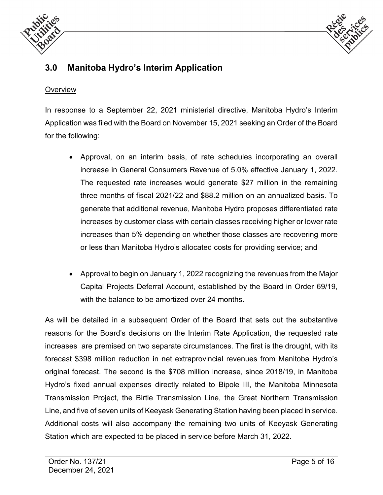



# **3.0 Manitoba Hydro's Interim Application**

#### **Overview**

In response to a September 22, 2021 ministerial directive, Manitoba Hydro's Interim Application was filed with the Board on November 15, 2021 seeking an Order of the Board for the following:

- Approval, on an interim basis, of rate schedules incorporating an overall increase in General Consumers Revenue of 5.0% effective January 1, 2022. The requested rate increases would generate \$27 million in the remaining three months of fiscal 2021/22 and \$88.2 million on an annualized basis. To generate that additional revenue, Manitoba Hydro proposes differentiated rate increases by customer class with certain classes receiving higher or lower rate increases than 5% depending on whether those classes are recovering more or less than Manitoba Hydro's allocated costs for providing service; and
- Approval to begin on January 1, 2022 recognizing the revenues from the Major Capital Projects Deferral Account, established by the Board in Order 69/19, with the balance to be amortized over 24 months.

As will be detailed in a subsequent Order of the Board that sets out the substantive reasons for the Board's decisions on the Interim Rate Application, the requested rate increases are premised on two separate circumstances. The first is the drought, with its forecast \$398 million reduction in net extraprovincial revenues from Manitoba Hydro's original forecast. The second is the \$708 million increase, since 2018/19, in Manitoba Hydro's fixed annual expenses directly related to Bipole III, the Manitoba Minnesota Transmission Project, the Birtle Transmission Line, the Great Northern Transmission Line, and five of seven units of Keeyask Generating Station having been placed in service. Additional costs will also accompany the remaining two units of Keeyask Generating Station which are expected to be placed in service before March 31, 2022.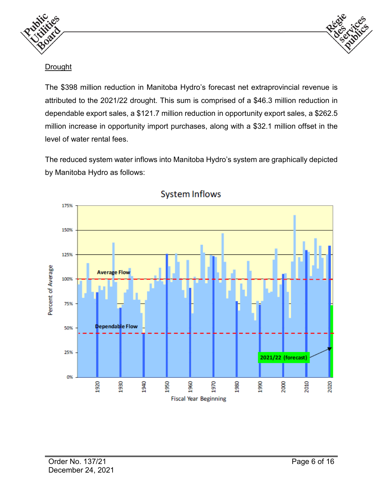



#### **Drought**

The \$398 million reduction in Manitoba Hydro's forecast net extraprovincial revenue is attributed to the 2021/22 drought. This sum is comprised of a \$46.3 million reduction in dependable export sales, a \$121.7 million reduction in opportunity export sales, a \$262.5 million increase in opportunity import purchases, along with a \$32.1 million offset in the level of water rental fees.

The reduced system water inflows into Manitoba Hydro's system are graphically depicted by Manitoba Hydro as follows:



**System Inflows**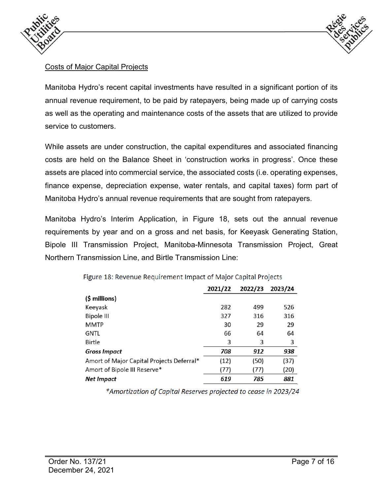



### Costs of Major Capital Projects

Manitoba Hydro's recent capital investments have resulted in a significant portion of its annual revenue requirement, to be paid by ratepayers, being made up of carrying costs as well as the operating and maintenance costs of the assets that are utilized to provide service to customers.

While assets are under construction, the capital expenditures and associated financing costs are held on the Balance Sheet in 'construction works in progress'. Once these assets are placed into commercial service, the associated costs (i.e. operating expenses, finance expense, depreciation expense, water rentals, and capital taxes) form part of Manitoba Hydro's annual revenue requirements that are sought from ratepayers.

Manitoba Hydro's Interim Application, in Figure 18, sets out the annual revenue requirements by year and on a gross and net basis, for Keeyask Generating Station, Bipole III Transmission Project, Manitoba-Minnesota Transmission Project, Great Northern Transmission Line, and Birtle Transmission Line:

|                                           | 2021/22 | 2022/23 | 2023/24 |
|-------------------------------------------|---------|---------|---------|
| (\$ millions)                             |         |         |         |
| Keeyask                                   | 282     | 499     | 526     |
| <b>Bipole III</b>                         | 327     | 316     | 316     |
| MMTP                                      | 30      | 29      | 29      |
| gntl                                      | 66      | 64      | 64      |
| Birtle                                    | 3       | 3       | 3       |
| Gross Impact                              | 708     | 912     | 938     |
| Amort of Major Capital Projects Deferral* | (12)    | (50)    | (37)    |
| Amort of Bipole III Reserve*              | (77)    | (77)    | (20)    |
| Net Impact                                | 619     | 785     | 881     |

Figure 18: Revenue Requirement Impact of Major Capital Projects

\*Amortization of Capital Reserves projected to cease in 2023/24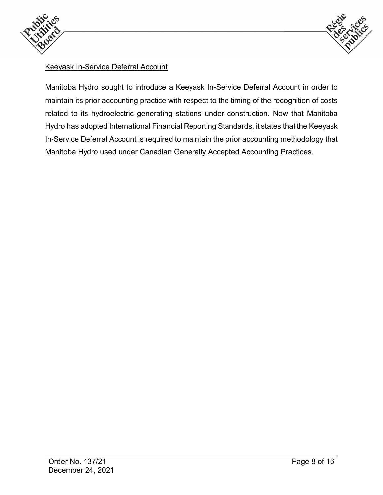



## Keeyask In-Service Deferral Account

Manitoba Hydro sought to introduce a Keeyask In-Service Deferral Account in order to maintain its prior accounting practice with respect to the timing of the recognition of costs related to its hydroelectric generating stations under construction. Now that Manitoba Hydro has adopted International Financial Reporting Standards, it states that the Keeyask In-Service Deferral Account is required to maintain the prior accounting methodology that Manitoba Hydro used under Canadian Generally Accepted Accounting Practices.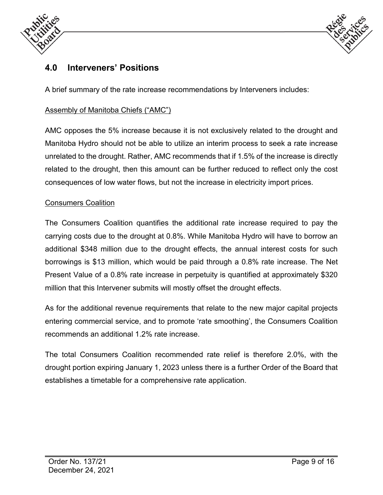



# **4.0 Interveners' Positions**

A brief summary of the rate increase recommendations by Interveners includes:

## Assembly of Manitoba Chiefs ("AMC")

AMC opposes the 5% increase because it is not exclusively related to the drought and Manitoba Hydro should not be able to utilize an interim process to seek a rate increase unrelated to the drought. Rather, AMC recommends that if 1.5% of the increase is directly related to the drought, then this amount can be further reduced to reflect only the cost consequences of low water flows, but not the increase in electricity import prices.

#### Consumers Coalition

The Consumers Coalition quantifies the additional rate increase required to pay the carrying costs due to the drought at 0.8%. While Manitoba Hydro will have to borrow an additional \$348 million due to the drought effects, the annual interest costs for such borrowings is \$13 million, which would be paid through a 0.8% rate increase. The Net Present Value of a 0.8% rate increase in perpetuity is quantified at approximately \$320 million that this Intervener submits will mostly offset the drought effects.

As for the additional revenue requirements that relate to the new major capital projects entering commercial service, and to promote 'rate smoothing', the Consumers Coalition recommends an additional 1.2% rate increase.

The total Consumers Coalition recommended rate relief is therefore 2.0%, with the drought portion expiring January 1, 2023 unless there is a further Order of the Board that establishes a timetable for a comprehensive rate application.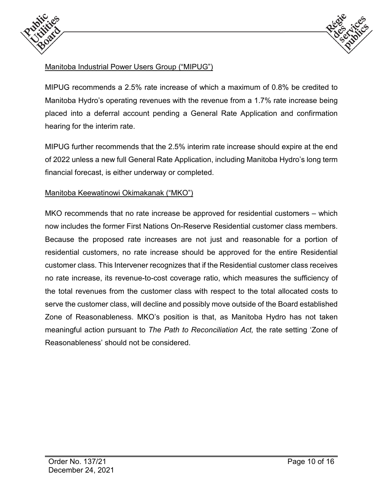



# Manitoba Industrial Power Users Group ("MIPUG")

MIPUG recommends a 2.5% rate increase of which a maximum of 0.8% be credited to Manitoba Hydro's operating revenues with the revenue from a 1.7% rate increase being placed into a deferral account pending a General Rate Application and confirmation hearing for the interim rate.

MIPUG further recommends that the 2.5% interim rate increase should expire at the end of 2022 unless a new full General Rate Application, including Manitoba Hydro's long term financial forecast, is either underway or completed.

#### Manitoba Keewatinowi Okimakanak ("MKO")

MKO recommends that no rate increase be approved for residential customers – which now includes the former First Nations On-Reserve Residential customer class members. Because the proposed rate increases are not just and reasonable for a portion of residential customers, no rate increase should be approved for the entire Residential customer class. This Intervener recognizes that if the Residential customer class receives no rate increase, its revenue-to-cost coverage ratio, which measures the sufficiency of the total revenues from the customer class with respect to the total allocated costs to serve the customer class, will decline and possibly move outside of the Board established Zone of Reasonableness. MKO's position is that, as Manitoba Hydro has not taken meaningful action pursuant to *The Path to Reconciliation Act,* the rate setting 'Zone of Reasonableness' should not be considered.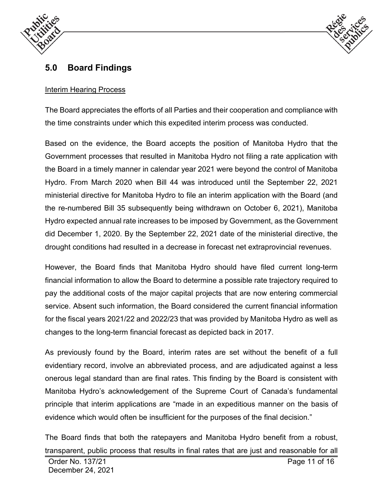



# **5.0 Board Findings**

#### Interim Hearing Process

The Board appreciates the efforts of all Parties and their cooperation and compliance with the time constraints under which this expedited interim process was conducted.

Based on the evidence, the Board accepts the position of Manitoba Hydro that the Government processes that resulted in Manitoba Hydro not filing a rate application with the Board in a timely manner in calendar year 2021 were beyond the control of Manitoba Hydro. From March 2020 when Bill 44 was introduced until the September 22, 2021 ministerial directive for Manitoba Hydro to file an interim application with the Board (and the re-numbered Bill 35 subsequently being withdrawn on October 6, 2021), Manitoba Hydro expected annual rate increases to be imposed by Government, as the Government did December 1, 2020. By the September 22, 2021 date of the ministerial directive, the drought conditions had resulted in a decrease in forecast net extraprovincial revenues.

However, the Board finds that Manitoba Hydro should have filed current long-term financial information to allow the Board to determine a possible rate trajectory required to pay the additional costs of the major capital projects that are now entering commercial service. Absent such information, the Board considered the current financial information for the fiscal years 2021/22 and 2022/23 that was provided by Manitoba Hydro as well as changes to the long-term financial forecast as depicted back in 2017.

As previously found by the Board, interim rates are set without the benefit of a full evidentiary record, involve an abbreviated process, and are adjudicated against a less onerous legal standard than are final rates. This finding by the Board is consistent with Manitoba Hydro's acknowledgement of the Supreme Court of Canada's fundamental principle that interim applications are "made in an expeditious manner on the basis of evidence which would often be insufficient for the purposes of the final decision."

The Board finds that both the ratepayers and Manitoba Hydro benefit from a robust, transparent, public process that results in final rates that are just and reasonable for all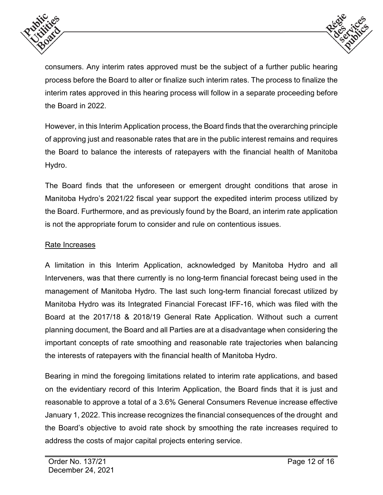



consumers. Any interim rates approved must be the subject of a further public hearing process before the Board to alter or finalize such interim rates. The process to finalize the interim rates approved in this hearing process will follow in a separate proceeding before the Board in 2022.

However, in this Interim Application process, the Board finds that the overarching principle of approving just and reasonable rates that are in the public interest remains and requires the Board to balance the interests of ratepayers with the financial health of Manitoba Hydro.

The Board finds that the unforeseen or emergent drought conditions that arose in Manitoba Hydro's 2021/22 fiscal year support the expedited interim process utilized by the Board. Furthermore, and as previously found by the Board, an interim rate application is not the appropriate forum to consider and rule on contentious issues.

### Rate Increases

A limitation in this Interim Application, acknowledged by Manitoba Hydro and all Interveners, was that there currently is no long-term financial forecast being used in the management of Manitoba Hydro. The last such long-term financial forecast utilized by Manitoba Hydro was its Integrated Financial Forecast IFF-16, which was filed with the Board at the 2017/18 & 2018/19 General Rate Application. Without such a current planning document, the Board and all Parties are at a disadvantage when considering the important concepts of rate smoothing and reasonable rate trajectories when balancing the interests of ratepayers with the financial health of Manitoba Hydro.

Bearing in mind the foregoing limitations related to interim rate applications, and based on the evidentiary record of this Interim Application, the Board finds that it is just and reasonable to approve a total of a 3.6% General Consumers Revenue increase effective January 1, 2022. This increase recognizes the financial consequences of the drought and the Board's objective to avoid rate shock by smoothing the rate increases required to address the costs of major capital projects entering service.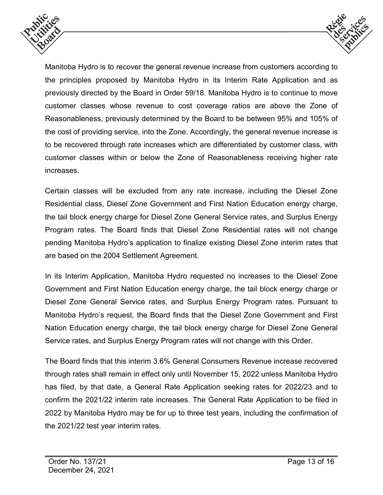



Manitoba Hydro is to recover the general revenue increase from customers according to the principles proposed by Manitoba Hydro in its Interim Rate Application and as previously directed by the Board in Order 59/18. Manitoba Hydro is to continue to move customer classes whose revenue to cost coverage ratios are above the Zone of Reasonableness, previously determined by the Board to be between 95% and 105% of the cost of providing service, into the Zone. Accordingly, the general revenue increase is to be recovered through rate increases which are differentiated by customer class, with customer classes within or below the Zone of Reasonableness receiving higher rate increases.

Certain classes will be excluded from any rate increase, including the Diesel Zone Residential class, Diesel Zone Government and First Nation Education energy charge, the tail block energy charge for Diesel Zone General Service rates, and Surplus Energy Program rates. The Board finds that Diesel Zone Residential rates will not change pending Manitoba Hydro's application to finalize existing Diesel Zone interim rates that are based on the 2004 Settlement Agreement.

In its Interim Application, Manitoba Hydro requested no increases to the Diesel Zone Government and First Nation Education energy charge, the tail block energy charge or Diesel Zone General Service rates, and Surplus Energy Program rates. Pursuant to Manitoba Hydro's request, the Board finds that the Diesel Zone Government and First Nation Education energy charge, the tail block energy charge for Diesel Zone General Service rates, and Surplus Energy Program rates will not change with this Order.

The Board finds that this interim 3.6% General Consumers Revenue increase recovered through rates shall remain in effect only until November 15, 2022 unless Manitoba Hydro has filed, by that date, a General Rate Application seeking rates for 2022/23 and to confirm the 2021/22 interim rate increases. The General Rate Application to be filed in 2022 by Manitoba Hydro may be for up to three test years, including the confirmation of the 2021/22 test year interim rates.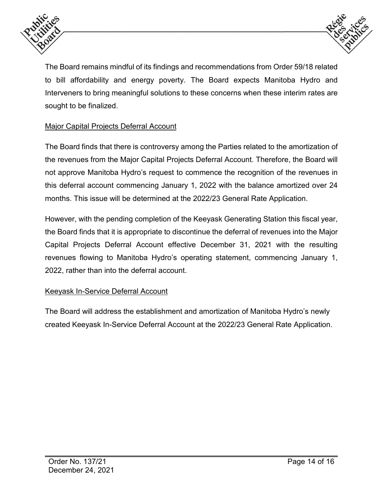



The Board remains mindful of its findings and recommendations from Order 59/18 related to bill affordability and energy poverty. The Board expects Manitoba Hydro and Interveners to bring meaningful solutions to these concerns when these interim rates are sought to be finalized.

# Major Capital Projects Deferral Account

The Board finds that there is controversy among the Parties related to the amortization of the revenues from the Major Capital Projects Deferral Account. Therefore, the Board will not approve Manitoba Hydro's request to commence the recognition of the revenues in this deferral account commencing January 1, 2022 with the balance amortized over 24 months. This issue will be determined at the 2022/23 General Rate Application.

However, with the pending completion of the Keeyask Generating Station this fiscal year, the Board finds that it is appropriate to discontinue the deferral of revenues into the Major Capital Projects Deferral Account effective December 31, 2021 with the resulting revenues flowing to Manitoba Hydro's operating statement, commencing January 1, 2022, rather than into the deferral account.

## Keeyask In-Service Deferral Account

The Board will address the establishment and amortization of Manitoba Hydro's newly created Keeyask In-Service Deferral Account at the 2022/23 General Rate Application.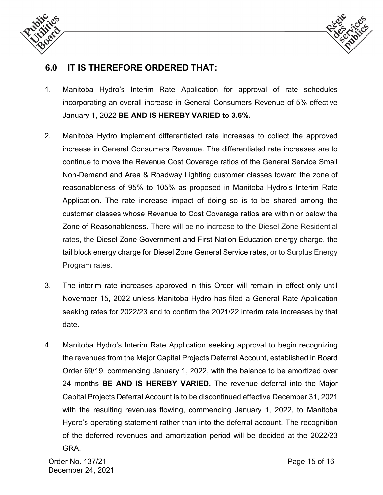



# **6.0 IT IS THEREFORE ORDERED THAT:**

- 1. Manitoba Hydro's Interim Rate Application for approval of rate schedules incorporating an overall increase in General Consumers Revenue of 5% effective January 1, 2022 **BE AND IS HEREBY VARIED to 3.6%.**
- 2. Manitoba Hydro implement differentiated rate increases to collect the approved increase in General Consumers Revenue. The differentiated rate increases are to continue to move the Revenue Cost Coverage ratios of the General Service Small Non-Demand and Area & Roadway Lighting customer classes toward the zone of reasonableness of 95% to 105% as proposed in Manitoba Hydro's Interim Rate Application. The rate increase impact of doing so is to be shared among the customer classes whose Revenue to Cost Coverage ratios are within or below the Zone of Reasonableness. There will be no increase to the Diesel Zone Residential rates, the Diesel Zone Government and First Nation Education energy charge, the tail block energy charge for Diesel Zone General Service rates, or to Surplus Energy Program rates.
- 3. The interim rate increases approved in this Order will remain in effect only until November 15, 2022 unless Manitoba Hydro has filed a General Rate Application seeking rates for 2022/23 and to confirm the 2021/22 interim rate increases by that date.
- 4. Manitoba Hydro's Interim Rate Application seeking approval to begin recognizing the revenues from the Major Capital Projects Deferral Account, established in Board Order 69/19, commencing January 1, 2022, with the balance to be amortized over 24 months **BE AND IS HEREBY VARIED.** The revenue deferral into the Major Capital Projects Deferral Account is to be discontinued effective December 31, 2021 with the resulting revenues flowing, commencing January 1, 2022, to Manitoba Hydro's operating statement rather than into the deferral account. The recognition of the deferred revenues and amortization period will be decided at the 2022/23 GRA.